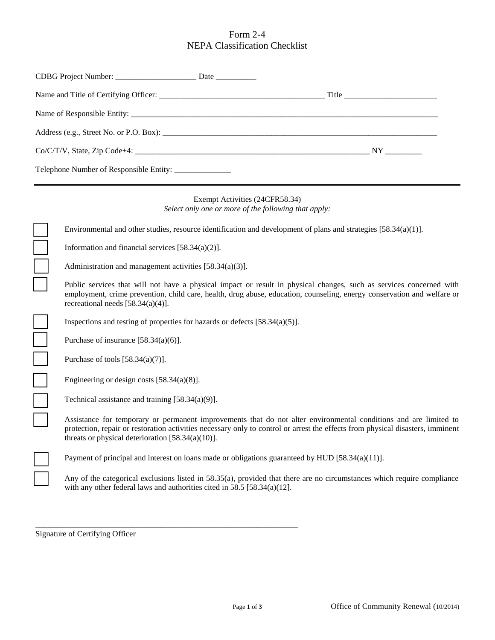## Form 2-4 NEPA Classification Checklist

|                                                       | CDBG Project Number: ___________________________ Date ___________________________                                                                                                                                                                                                                                                                                                                                                              |                                                                                        |                                                                                                                    |
|-------------------------------------------------------|------------------------------------------------------------------------------------------------------------------------------------------------------------------------------------------------------------------------------------------------------------------------------------------------------------------------------------------------------------------------------------------------------------------------------------------------|----------------------------------------------------------------------------------------|--------------------------------------------------------------------------------------------------------------------|
|                                                       |                                                                                                                                                                                                                                                                                                                                                                                                                                                |                                                                                        |                                                                                                                    |
|                                                       |                                                                                                                                                                                                                                                                                                                                                                                                                                                |                                                                                        |                                                                                                                    |
|                                                       |                                                                                                                                                                                                                                                                                                                                                                                                                                                |                                                                                        |                                                                                                                    |
|                                                       |                                                                                                                                                                                                                                                                                                                                                                                                                                                |                                                                                        |                                                                                                                    |
| Telephone Number of Responsible Entity: _____________ |                                                                                                                                                                                                                                                                                                                                                                                                                                                |                                                                                        |                                                                                                                    |
|                                                       |                                                                                                                                                                                                                                                                                                                                                                                                                                                | Exempt Activities (24CFR58.34)<br>Select only one or more of the following that apply: |                                                                                                                    |
|                                                       |                                                                                                                                                                                                                                                                                                                                                                                                                                                |                                                                                        | Environmental and other studies, resource identification and development of plans and strategies $[58.34(a)(1)]$ . |
|                                                       | Information and financial services $[58.34(a)(2)].$                                                                                                                                                                                                                                                                                                                                                                                            |                                                                                        |                                                                                                                    |
|                                                       | Administration and management activities $[58.34(a)(3)].$                                                                                                                                                                                                                                                                                                                                                                                      |                                                                                        |                                                                                                                    |
|                                                       | Public services that will not have a physical impact or result in physical changes, such as services concerned with<br>employment, crime prevention, child care, health, drug abuse, education, counseling, energy conservation and welfare or<br>recreational needs $[58.34(a)(4)].$                                                                                                                                                          |                                                                                        |                                                                                                                    |
|                                                       |                                                                                                                                                                                                                                                                                                                                                                                                                                                | Inspections and testing of properties for hazards or defects $[58.34(a)(5)]$ .         |                                                                                                                    |
|                                                       | Purchase of insurance $[58.34(a)(6)].$                                                                                                                                                                                                                                                                                                                                                                                                         |                                                                                        |                                                                                                                    |
|                                                       | Purchase of tools $[58.34(a)(7)]$ .                                                                                                                                                                                                                                                                                                                                                                                                            |                                                                                        |                                                                                                                    |
|                                                       | Engineering or design costs $[58.34(a)(8)].$                                                                                                                                                                                                                                                                                                                                                                                                   |                                                                                        |                                                                                                                    |
|                                                       | Technical assistance and training $[58.34(a)(9)]$ .                                                                                                                                                                                                                                                                                                                                                                                            |                                                                                        |                                                                                                                    |
|                                                       | Assistance for temporary or permanent improvements that do not alter environmental conditions and are limited to<br>protection, repair or restoration activities necessary only to control or arrest the effects from physical disasters, imminent<br>threats or physical deterioration $[58.34(a)(10)].$                                                                                                                                      |                                                                                        |                                                                                                                    |
|                                                       | Payment of principal and interest on loans made or obligations guaranteed by HUD $[58.34(a)(11)]$ .                                                                                                                                                                                                                                                                                                                                            |                                                                                        |                                                                                                                    |
|                                                       | Any of the categorical exclusions listed in 58.35(a), provided that there are no circumstances which require compliance<br>$\frac{1}{2}$ $\frac{1}{2}$ $\frac{1}{2}$ $\frac{1}{2}$ $\frac{1}{2}$ $\frac{1}{2}$ $\frac{1}{2}$ $\frac{1}{2}$ $\frac{1}{2}$ $\frac{1}{2}$ $\frac{1}{2}$ $\frac{1}{2}$ $\frac{1}{2}$ $\frac{1}{2}$ $\frac{1}{2}$ $\frac{1}{2}$ $\frac{1}{2}$ $\frac{1}{2}$ $\frac{1}{2}$ $\frac{1}{2}$ $\frac{1}{2}$ $\frac{1}{2}$ |                                                                                        |                                                                                                                    |

with any other federal laws and authorities cited in 58.5 [58.34(a)(12].

\_\_\_\_\_\_\_\_\_\_\_\_\_\_\_\_\_\_\_\_\_\_\_\_\_\_\_\_\_\_\_\_\_\_\_\_\_\_\_\_\_\_\_\_\_\_\_\_\_\_\_\_\_\_\_\_\_\_\_\_\_\_\_\_\_

Signature of Certifying Officer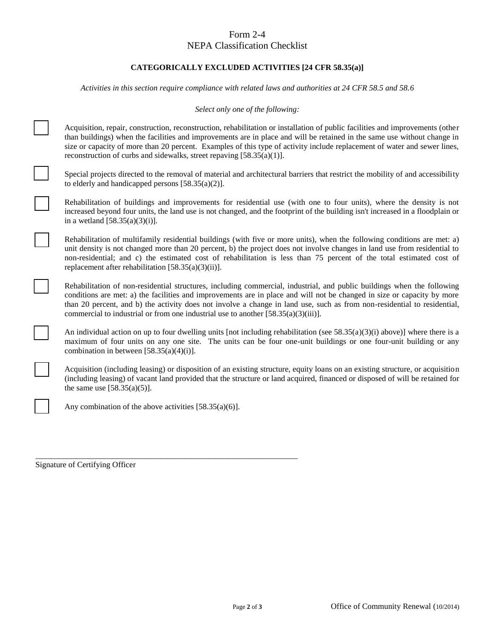# Form 2-4

### NEPA Classification Checklist

#### **CATEGORICALLY EXCLUDED ACTIVITIES [24 CFR 58.35(a)]**

*Activities in this section require compliance with related laws and authorities at 24 CFR 58.5 and 58.6*

*Select only one of the following:*

Acquisition, repair, construction, reconstruction, rehabilitation or installation of public facilities and improvements (other than buildings) when the facilities and improvements are in place and will be retained in the same use without change in size or capacity of more than 20 percent. Examples of this type of activity include replacement of water and sewer lines, reconstruction of curbs and sidewalks, street repaving [58.35(a)(1)].

Special projects directed to the removal of material and architectural barriers that restrict the mobility of and accessibility to elderly and handicapped persons [58.35(a)(2)].

Rehabilitation of buildings and improvements for residential use (with one to four units), where the density is not increased beyond four units, the land use is not changed, and the footprint of the building isn't increased in a floodplain or in a wetland  $[58.35(a)(3)(i)].$ 

Rehabilitation of multifamily residential buildings (with five or more units), when the following conditions are met: a) unit density is not changed more than 20 percent, b) the project does not involve changes in land use from residential to non-residential; and c) the estimated cost of rehabilitation is less than 75 percent of the total estimated cost of replacement after rehabilitation [58.35(a)(3)(ii)].

Rehabilitation of non-residential structures, including commercial, industrial, and public buildings when the following conditions are met: a) the facilities and improvements are in place and will not be changed in size or capacity by more than 20 percent, and b) the activity does not involve a change in land use, such as from non-residential to residential, commercial to industrial or from one industrial use to another [58.35(a)(3)(iii)].

An individual action on up to four dwelling units [not including rehabilitation (see  $58.35(a)(3)(i)$  above)] where there is a maximum of four units on any one site. The units can be four one-unit buildings or one four-unit building or any combination in between  $[58.35(a)(4)(i)].$ 

Acquisition (including leasing) or disposition of an existing structure, equity loans on an existing structure, or acquisition (including leasing) of vacant land provided that the structure or land acquired, financed or disposed of will be retained for the same use  $[58.35(a)(5)].$ 

Any combination of the above activities [58.35(a)(6)].

\_\_\_\_\_\_\_\_\_\_\_\_\_\_\_\_\_\_\_\_\_\_\_\_\_\_\_\_\_\_\_\_\_\_\_\_\_\_\_\_\_\_\_\_\_\_\_\_\_\_\_\_\_\_\_\_\_\_\_\_\_\_\_\_\_ Signature of Certifying Officer